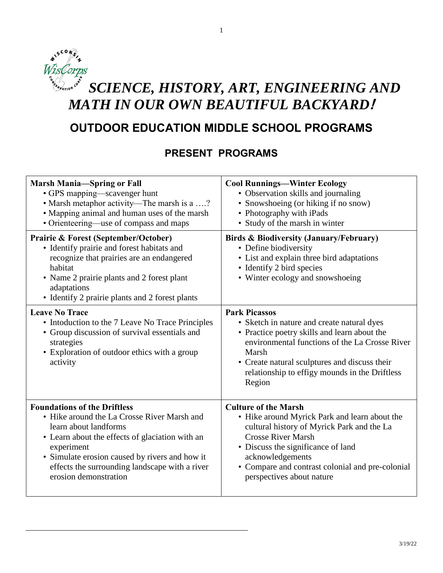## $\mathbf{a'}$ WisCorps SERVATION CORN *SCIENCE, HISTORY, ART, ENGINEERING AND MATH IN OUR OWN BEAUTIFUL BACKYARD***!**

1

# **OUTDOOR EDUCATION MIDDLE SCHOOL PROGRAMS**

# **PRESENT PROGRAMS**

| <b>Marsh Mania-Spring or Fall</b>                                                                                                                                                                                                                                     | <b>Cool Runnings-Winter Ecology</b>                                                                                                                                                                                                                                                        |
|-----------------------------------------------------------------------------------------------------------------------------------------------------------------------------------------------------------------------------------------------------------------------|--------------------------------------------------------------------------------------------------------------------------------------------------------------------------------------------------------------------------------------------------------------------------------------------|
| • GPS mapping—scavenger hunt                                                                                                                                                                                                                                          | • Observation skills and journaling                                                                                                                                                                                                                                                        |
| • Marsh metaphor activity—The marsh is a ?                                                                                                                                                                                                                            | • Snowshoeing (or hiking if no snow)                                                                                                                                                                                                                                                       |
| • Mapping animal and human uses of the marsh                                                                                                                                                                                                                          | • Photography with iPads                                                                                                                                                                                                                                                                   |
| • Orienteering—use of compass and maps                                                                                                                                                                                                                                | • Study of the marsh in winter                                                                                                                                                                                                                                                             |
| <b>Prairie &amp; Forest (September/October)</b><br>• Identify prairie and forest habitats and<br>recognize that prairies are an endangered<br>habitat<br>• Name 2 prairie plants and 2 forest plant<br>adaptations<br>• Identify 2 prairie plants and 2 forest plants | Birds & Biodiversity (January/February)<br>• Define biodiversity<br>• List and explain three bird adaptations<br>• Identify 2 bird species<br>• Winter ecology and snowshoeing                                                                                                             |
| <b>Leave No Trace</b><br>• Intoduction to the 7 Leave No Trace Principles<br>• Group discussion of survival essentials and<br>strategies<br>• Exploration of outdoor ethics with a group<br>activity                                                                  | <b>Park Picassos</b><br>• Sketch in nature and create natural dyes<br>• Practice poetry skills and learn about the<br>environmental functions of the La Crosse River<br>Marsh<br>• Create natural sculptures and discuss their<br>relationship to effigy mounds in the Driftless<br>Region |
| <b>Foundations of the Driftless</b>                                                                                                                                                                                                                                   | <b>Culture of the Marsh</b>                                                                                                                                                                                                                                                                |
| • Hike around the La Crosse River Marsh and                                                                                                                                                                                                                           | • Hike around Myrick Park and learn about the                                                                                                                                                                                                                                              |
| learn about landforms                                                                                                                                                                                                                                                 | cultural history of Myrick Park and the La                                                                                                                                                                                                                                                 |
| • Learn about the effects of glaciation with an                                                                                                                                                                                                                       | <b>Crosse River Marsh</b>                                                                                                                                                                                                                                                                  |
| experiment                                                                                                                                                                                                                                                            | • Discuss the significance of land                                                                                                                                                                                                                                                         |
| • Simulate erosion caused by rivers and how it                                                                                                                                                                                                                        | acknowledgements                                                                                                                                                                                                                                                                           |
| effects the surrounding landscape with a river                                                                                                                                                                                                                        | • Compare and contrast colonial and pre-colonial                                                                                                                                                                                                                                           |
| erosion demonstration                                                                                                                                                                                                                                                 | perspectives about nature                                                                                                                                                                                                                                                                  |